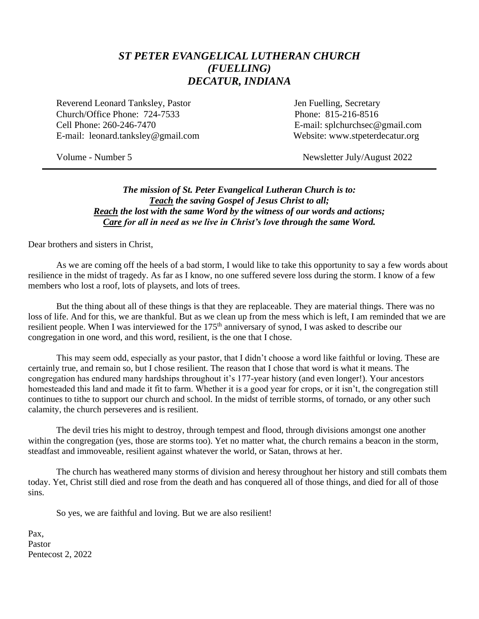## *ST PETER EVANGELICAL LUTHERAN CHURCH (FUELLING) DECATUR, INDIANA*

Reverend Leonard Tanksley, Pastor **Jen Fuelling**, Secretary Church/Office Phone: 724-7533 Phone: 815-216-8516 Cell Phone: 260-246-7470 E-mail: splchurchsec@gmail.com E-mail: leonard.tanksley@gmail.com Website: www.stpeterdecatur.org

Volume - Number 5 Newsletter July/August 2022

## *The mission of St. Peter Evangelical Lutheran Church is to: Teach the saving Gospel of Jesus Christ to all; Reach the lost with the same Word by the witness of our words and actions; Care for all in need as we live in Christ's love through the same Word.*

Dear brothers and sisters in Christ,

As we are coming off the heels of a bad storm, I would like to take this opportunity to say a few words about resilience in the midst of tragedy. As far as I know, no one suffered severe loss during the storm. I know of a few members who lost a roof, lots of playsets, and lots of trees.

But the thing about all of these things is that they are replaceable. They are material things. There was no loss of life. And for this, we are thankful. But as we clean up from the mess which is left, I am reminded that we are resilient people. When I was interviewed for the 175<sup>th</sup> anniversary of synod, I was asked to describe our congregation in one word, and this word, resilient, is the one that I chose.

This may seem odd, especially as your pastor, that I didn't choose a word like faithful or loving. These are certainly true, and remain so, but I chose resilient. The reason that I chose that word is what it means. The congregation has endured many hardships throughout it's 177-year history (and even longer!). Your ancestors homesteaded this land and made it fit to farm. Whether it is a good year for crops, or it isn't, the congregation still continues to tithe to support our church and school. In the midst of terrible storms, of tornado, or any other such calamity, the church perseveres and is resilient.

The devil tries his might to destroy, through tempest and flood, through divisions amongst one another within the congregation (yes, those are storms too). Yet no matter what, the church remains a beacon in the storm, steadfast and immoveable, resilient against whatever the world, or Satan, throws at her.

The church has weathered many storms of division and heresy throughout her history and still combats them today. Yet, Christ still died and rose from the death and has conquered all of those things, and died for all of those sins.

So yes, we are faithful and loving. But we are also resilient!

Pax, Pastor Pentecost 2, 2022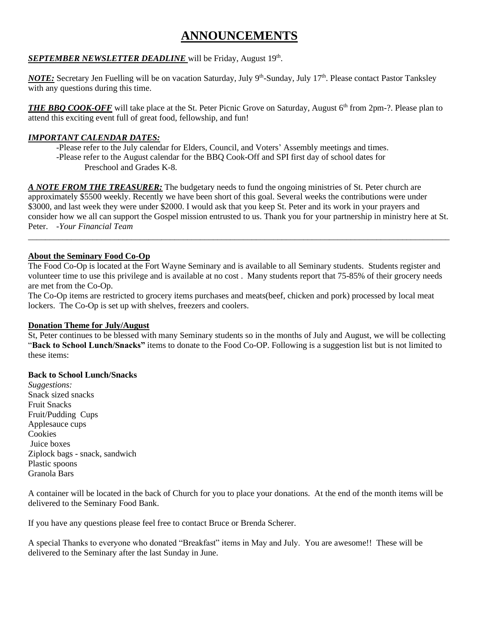# **ANNOUNCEMENTS**

### **SEPTEMBER NEWSLETTER DEADLINE** will be Friday, August 19<sup>th</sup>.

*NOTE*: Secretary Jen Fuelling will be on vacation Saturday, July 9<sup>th</sup>-Sunday, July 17<sup>th</sup>. Please contact Pastor Tanksley with any questions during this time.

*THE BBO COOK-OFF* will take place at the St. Peter Picnic Grove on Saturday, August 6<sup>th</sup> from 2pm-?. Please plan to attend this exciting event full of great food, fellowship, and fun!

### *IMPORTANT CALENDAR DATES:*

-Please refer to the July calendar for Elders, Council, and Voters' Assembly meetings and times. -Please refer to the August calendar for the BBQ Cook-Off and SPI first day of school dates for Preschool and Grades K-8.

*A NOTE FROM THE TREASURER:* The budgetary needs to fund the ongoing ministries of St. Peter church are approximately \$5500 weekly. Recently we have been short of this goal. Several weeks the contributions were under \$3000, and last week they were under \$2000. I would ask that you keep St. Peter and its work in your prayers and consider how we all can support the Gospel mission entrusted to us. Thank you for your partnership in ministry here at St. Peter. *-Your Financial Team*

\_\_\_\_\_\_\_\_\_\_\_\_\_\_\_\_\_\_\_\_\_\_\_\_\_\_\_\_\_\_\_\_\_\_\_\_\_\_\_\_\_\_\_\_\_\_\_\_\_\_\_\_\_\_\_\_\_\_\_\_\_\_\_\_\_\_\_\_\_\_\_\_\_\_\_\_\_\_\_\_\_\_\_\_\_\_\_\_\_\_\_\_\_\_\_\_\_\_

#### **About the Seminary Food Co-Op**

The Food Co-Op is located at the Fort Wayne Seminary and is available to all Seminary students. Students register and volunteer time to use this privilege and is available at no cost . Many students report that 75-85% of their grocery needs are met from the Co-Op.

The Co-Op items are restricted to grocery items purchases and meats(beef, chicken and pork) processed by local meat lockers. The Co-Op is set up with shelves, freezers and coolers.

#### **Donation Theme for July/August**

St, Peter continues to be blessed with many Seminary students so in the months of July and August, we will be collecting "**Back to School Lunch/Snacks"** items to donate to the Food Co-OP. Following is a suggestion list but is not limited to these items:

#### **Back to School Lunch/Snacks**

*Suggestions:* Snack sized snacks Fruit Snacks Fruit/Pudding Cups Applesauce cups Cookies Juice boxes Ziplock bags - snack, sandwich Plastic spoons Granola Bars

A container will be located in the back of Church for you to place your donations. At the end of the month items will be delivered to the Seminary Food Bank.

If you have any questions please feel free to contact Bruce or Brenda Scherer.

A special Thanks to everyone who donated "Breakfast" items in May and July. You are awesome!! These will be delivered to the Seminary after the last Sunday in June.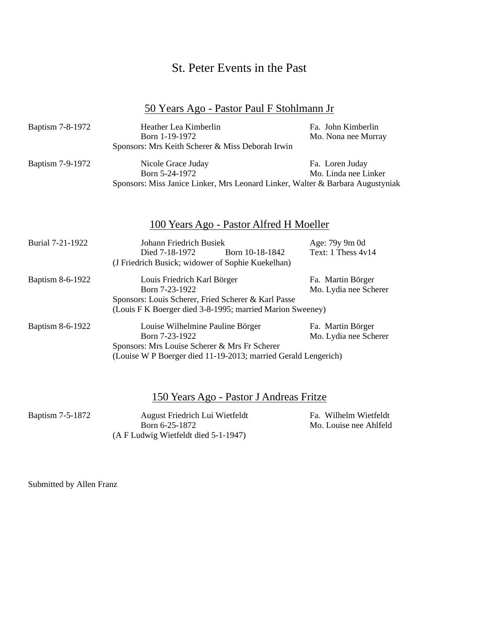# St. Peter Events in the Past

# 50 Years Ago - Pastor Paul F Stohlmann Jr

| Baptism 7-8-1972 | Heather Lea Kimberlin<br>Born 1-19-1972<br>Sponsors: Mrs Keith Scherer & Miss Deborah Irwin                                                                           |                                            |  |
|------------------|-----------------------------------------------------------------------------------------------------------------------------------------------------------------------|--------------------------------------------|--|
| Baptism 7-9-1972 | Nicole Grace Juday<br>Born 5-24-1972<br>Sponsors: Miss Janice Linker, Mrs Leonard Linker, Walter & Barbara Augustyniak                                                | Fa. Loren Juday<br>Mo. Linda nee Linker    |  |
|                  | 100 Years Ago - Pastor Alfred H Moeller                                                                                                                               |                                            |  |
| Burial 7-21-1922 | Johann Friedrich Busiek<br>Died 7-18-1972<br>Born 10-18-1842<br>(J Friedrich Busick; widower of Sophie Kuekelhan)                                                     | Age: 79y 9m 0d<br>Text: 1 Thess 4v14       |  |
| Baptism 8-6-1922 | Louis Friedrich Karl Börger<br>Born 7-23-1922<br>Sponsors: Louis Scherer, Fried Scherer & Karl Passe<br>(Louis F K Boerger died 3-8-1995; married Marion Sweeney)     | Fa. Martin Börger<br>Mo. Lydia nee Scherer |  |
| Baptism 8-6-1922 | Louise Wilhelmine Pauline Börger<br>Born 7-23-1922<br>Sponsors: Mrs Louise Scherer & Mrs Fr Scherer<br>(Louise W P Boerger died 11-19-2013; married Gerald Lengerich) |                                            |  |

|                         | 150 Years Ago - Pastor J Andreas Fritze          |                                                 |  |
|-------------------------|--------------------------------------------------|-------------------------------------------------|--|
| <b>Baptism 7-5-1872</b> | August Friedrich Lui Wietfeldt<br>Born 6-25-1872 | Fa. Wilhelm Wietfeldt<br>Mo. Louise nee Ahlfeld |  |
|                         | (A F Ludwig Wietfeldt died 5-1-1947)             |                                                 |  |

Submitted by Allen Franz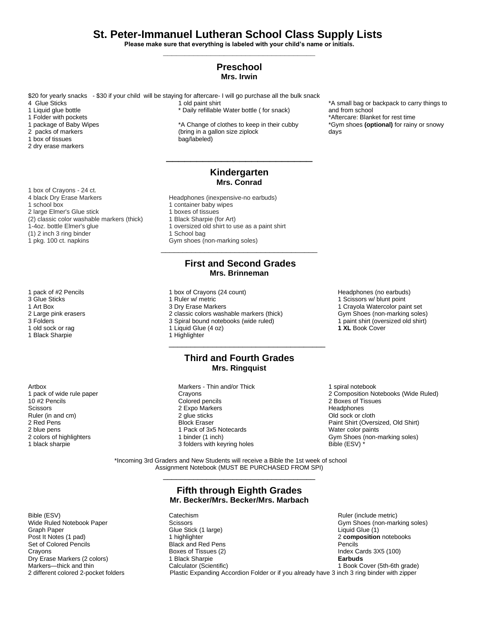## **St. Peter-Immanuel Lutheran School Class Supply Lists**

**Please make sure that everything is labeled with your child's name or initials. \_\_\_\_\_\_\_\_\_\_\_\_\_\_\_\_\_\_\_\_\_\_\_\_\_\_\_\_\_\_\_\_\_\_\_**

#### **Preschool Mrs. Irwin**

\$20 for yearly snacks - \$30 if your child will be staying for aftercare- I will go purchase all the bulk snack 4 Glue Sticks

1 Liquid glue bottle

- 1 Folder with pockets
- 1 package of Baby Wipes

2 packs of markers

1 box of tissues

2 dry erase markers

1 box of Crayons - 24 ct. 4 black Dry Erase Markers **Headphones** (inexpensive-no earbuds) 1 school box 1 container baby wipes 2 large Elmer's Glue stick<br>
(2) classic color washable markers (thick) 1 Black Sharpie (for Art) (2) classic color washable markers (thick) 1-4oz. bottle Elmer's glue<br>
1 oversized old shirt to use as a paint shirt<br>
1 School bag  $(1)$  2 inch 3 ring binder 1 pkg. 100 ct. napkins

- 
- 
- 
- 
- 
- 1 Black Sharpie

Artbox 1 pack of wide rule paper 10 #2 Pencils **Scissors** Ruler (in and cm) 2 Red Pens 2 blue pens 2 colors of highlighters 1 black sharpie

1 old paint shirt \* Daily refillable Water bottle ( for snack)

\*A Change of clothes to keep in their cubby (bring in a gallon size ziplock bag/labeled)

#### **Kindergarten Mrs. Conrad**

\_\_\_\_\_\_\_\_\_\_\_\_\_\_\_\_\_\_\_\_\_\_\_\_

- 
- 
- 
- 
- 
- Gym shoes (non-marking soles)

#### **First and Second Grades Mrs. Brinneman**

\_\_\_\_\_\_\_\_\_\_\_\_\_\_\_\_\_\_\_\_\_\_\_\_\_\_\_\_\_\_\_\_\_\_\_\_

- 1 pack of #2 Pencils 1 box of Crayons (24 count) 1 box of Crayons (24 count) 1 controlled by the Headphones (no earbuds) 1 Scissors w/blunt point 1 Scissors w/blunt point
- 3 Glue Sticks 1 Ruler w/ metric 1 Scissors w/ blunt point
	-
- 1 Art Box 3 Dry Erase Markers 1 Art Box 3 Dry Erase Markers 1 Crayola Watercolor paint set<br>1 Crayola Watercolor paint set 3 Crassic colors washable markers (thick) Cym Shoes (non-marking soles) 2 classic colors washable markers (thick) Gym Shoes (non-marking soles)<br>3 Spiral bound notebooks (wide ruled) 1 paint shirt (oversized old shirt)
- 3 Folders 3 Spiral bound notebooks (wide ruled)
- 1 old sock or rag 1 Liquid Glue (4 oz) **1 XL** Book Cover
	-

#### **Third and Fourth Grades Mrs. Ringquist**

\_\_\_\_\_\_\_\_\_\_\_\_\_\_\_\_\_\_\_\_\_\_\_\_\_\_\_\_\_\_\_\_\_\_\_\_

Markers - Thin and/or Thick **Crayons** Colored pencils 2 Expo Markers 2 glue sticks Block Eraser 1 Pack of 3x5 Notecards 1 binder (1 inch) 3 folders with keyring holes

1 spiral notebook 2 Composition Notebooks (Wide Ruled) 2 Boxes of Tissues Headphones Old sock or cloth Paint Shirt (Oversized, Old Shirt) Water color paints Gym Shoes (non-marking soles) Bible (ESV) \*

\*A small bag or backpack to carry things to

\*Gym shoes **(optional)** for rainy or snowy

\*Aftercare: Blanket for rest time

and from school

days

 \*Incoming 3rd Graders and New Students will receive a Bible the 1st week of school Assignment Notebook (MUST BE PURCHASED FROM SPI)

#### **Fifth through Eighth Grades Mr. Becker/Mrs. Becker/Mrs. Marbach**

\_\_\_\_\_\_\_\_\_\_\_\_\_\_\_\_\_\_\_\_\_\_\_\_\_\_\_\_\_\_\_\_\_\_\_

Bible (ESV) Catechism Catechism Catechism Catechism Ruler (include metric)<br>
Wide Ruled Notebook Paper Scissors Constanting Constanting Constanting Constanting Constanting Constanting Co Gym Shoes (non-marking soles) Graph Paper Graph Paper (1) Clue Stick (1 large) Craph Paper (1) Liquid Glue (1) Craph Paper (1) Craph Craph C<br>
Composition Craph Craph Craph Craph Craph Craph Craph Craph Craph Craph Craph Craph Craph Craph Craph Craph C 2 **composition** notebooks Set of Colored Pencils<br>Crayons Crayons Crayons Black and Red Pens Pencils<br>Boxes of Tissues (2) Index Cards 3X5 (100) Dry Erase Markers (2 colors) 1 Black Sharpie **Earbuds** Markers—thick and thin **Calculator (Scientific)** 1 Book Cover (5th-6th grade) 1 Book Cover (5th-6th grade) 2 different colored 2-pocket folders Plastic Expanding Accordion Folder or if you already have 3 inch 3 ring binder with zipper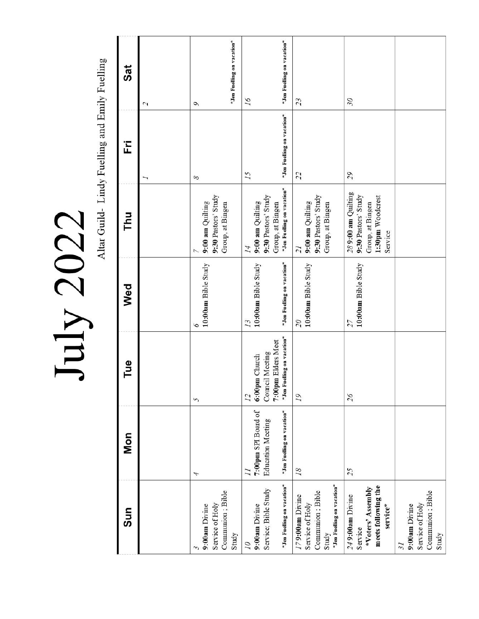July 2022

Altar Guild- Lindy Fuelling and Emily Fuelling

| Sat |                | *Jen Fuelling on vacation*                                    | *Jen Fuelling on vacation*                                                                              |                                                                                               |                                                                                              |                                                                                        |
|-----|----------------|---------------------------------------------------------------|---------------------------------------------------------------------------------------------------------|-----------------------------------------------------------------------------------------------|----------------------------------------------------------------------------------------------|----------------------------------------------------------------------------------------|
| Ë   | $\overline{c}$ | $\mathcal{O}$<br>8                                            | 16<br>*Jen Fuelling on vacation*<br>15                                                                  | 23<br>22                                                                                      | 30<br>50                                                                                     |                                                                                        |
| Thu |                | 9:30 Pastors' Study<br>9:00 am Quilting<br>Group, at Bingen   | *Jen Fuelling on vacation*<br>9:30 Pastors' Study<br>9:00 am Quilting<br>Group, at Bingen<br>14         | 9:30 Pastors' Study<br>9:00 am Quilting<br>Group, at Bingen<br>$\tilde{I}$                    | 289:00 am Quilting<br>9:30 Pastors' Study<br>1:30pm Woodcrest<br>Group, at Bingen<br>Service |                                                                                        |
| Wed |                | 10:00am Bible Study<br>9                                      | *Jen Fuelling on vacation*<br>10:00am Bible Study<br>13                                                 | 10:00am Bible Study<br>$\overline{\mathcal{O}}$                                               | 10:00am Bible Study<br>$\overline{27}$                                                       |                                                                                        |
| Tue |                | 5                                                             | *Jen Fuelling on vacation*<br>7:00pm Elders Meet<br>Council Meeting<br>6:00pm Church<br>$\overline{12}$ | 19                                                                                            | 56                                                                                           |                                                                                        |
| Mon |                | 4                                                             | *Jen Fuelling on vacation*<br>7:00pm SPI Board of<br><b>Education Meeting</b>                           | 18                                                                                            | 25                                                                                           |                                                                                        |
| Sun |                | Communion; Bible<br>Service of Holy<br>9:00am Divine<br>Study | *Jen Fuelling on vacation*<br>Service; Bible Study<br>9:00am Divine<br>07                               | *Jen Fuelling on vacation*<br>Communion; Bible<br>179:00am Divine<br>Service of Holy<br>Study | meets following the<br>*Voters' Assembly<br>249:00am Divine<br>service*<br>Service           | Communion; Bible<br>Service of Holy<br>9:00am Divine<br>Study<br>$\tilde{\mathcal{E}}$ |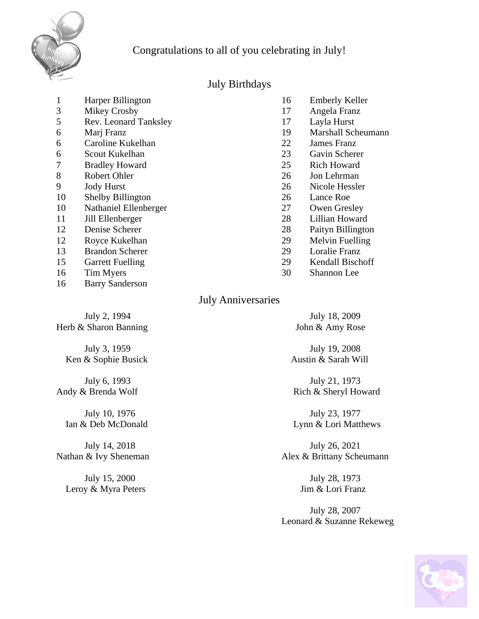

# Congratulations to all of you celebrating in July!

## July Birthdays

| 1  | Harper Billington            | 16 | <b>Emberly Keller</b>     |
|----|------------------------------|----|---------------------------|
| 3  | Mikey Crosby                 | 17 | Angela Franz              |
| 5  | <b>Rev. Leonard Tanksley</b> | 17 | Layla Hurst               |
| 6  | Marj Franz                   | 19 | <b>Marshall Scheumann</b> |
| 6  | Caroline Kukelhan            | 22 | <b>James Franz</b>        |
| 6  | Scout Kukelhan               | 23 | Gavin Scherer             |
|    | <b>Bradley Howard</b>        | 25 | <b>Rich Howard</b>        |
| 8  | Robert Ohler                 | 26 | Jon Lehrman               |
| 9  | <b>Jody Hurst</b>            | 26 | Nicole Hessler            |
| 10 | <b>Shelby Billington</b>     | 26 | Lance Roe                 |
| 10 | Nathaniel Ellenberger        | 27 | Owen Gresley              |
| 11 | Jill Ellenberger             | 28 | Lillian Howard            |
| 12 | Denise Scherer               | 28 | Paityn Billington         |
| 12 | Royce Kukelhan               | 29 | Melvin Fuelling           |
| 13 | <b>Brandon Scherer</b>       | 29 | <b>Loralie Franz</b>      |
| 15 | <b>Garrett Fuelling</b>      | 29 | Kendall Bischoff          |
| 16 | Tim Myers                    | 30 | Shannon Lee               |
| 16 | <b>Barry Sanderson</b>       |    |                           |

## July Anniversaries

July 2, 1994 July 18, 2009 Herb & Sharon Banning John & Amy Rose

Ken & Sophie Busick

 July 15, 2000 July 28, 1973 Leroy & Myra Peters Jim & Lori Franz

July 3, 1959<br>  $\&$  Sophie Busick<br>  $\&$  Sophie Busick<br>  $\&$  Sarah Will

 July 6, 1993 July 21, 1973 Andy & Brenda Wolf Rich & Sheryl Howard

July 10, 1976 **July 23**, 1977 Ian & Deb McDonald Lynn & Lori Matthews

 July 14, 2018 July 26, 2021 Nathan & Ivy Sheneman Alex & Brittany Scheumann

 July 28, 2007 Leonard & Suzanne Rekeweg

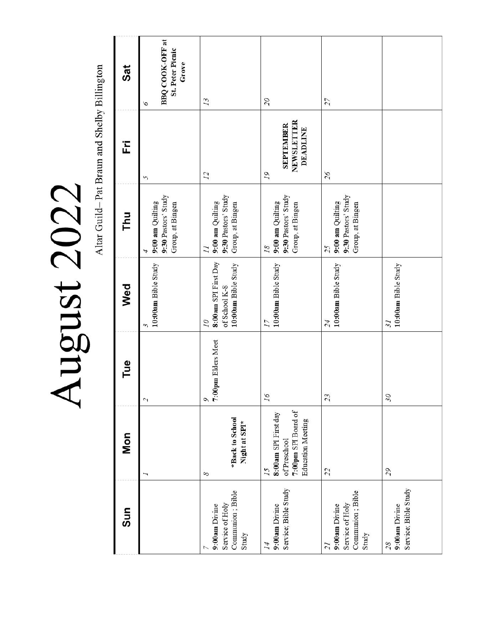Altar Guild-Pat Braun and Shelby Billington August 2022

| Sat | BBQ COOK-OFF at<br><b>St. Peter Picnic</b><br>Grove              |                                                                               |                                                                                               |                                                                                 |                                                 |
|-----|------------------------------------------------------------------|-------------------------------------------------------------------------------|-----------------------------------------------------------------------------------------------|---------------------------------------------------------------------------------|-------------------------------------------------|
| Ë   | 6<br>5                                                           | 13<br>$\overline{12}$                                                         | $\overline{\mathcal{L}}$<br>NEWSLETTER<br><b>SEPTEMBER</b><br><b>DEADLINE</b><br>19           | 27<br>$5\overline{c}$                                                           |                                                 |
| Thu | 9:30 Pastors' Study<br>9:00 am Quilting<br>Group, at Bingen<br>4 | 9:30 Pastors' Study<br>9:00 am Quilting<br>Group, at Bingen<br>$\overline{l}$ | 9:30 Pastors' Study<br>9:00 am Quilting<br>Group, at Bingen<br>18                             | 9:30 Pastors' Study<br>9:00 am Quilting<br>Group, at Bingen<br>25               |                                                 |
| Wed | $10:00$ am Bible Study<br>3                                      | 8:00am SPI First Day<br>10:00am Bible Study<br>of School K-8<br>07            | 10:00am Bible Study<br>17                                                                     | 10:00am Bible Study<br>54                                                       | 10:00am Bible Study<br>$\overline{\mathcal{E}}$ |
| Tue | 2                                                                | 7:00pm Elders Meet<br>$\circ$                                                 | 91                                                                                            | 23                                                                              | $\mathcal{S}$                                   |
| Mon |                                                                  | *Back to School<br>Night at SPI*<br>8                                         | 7:00pm SPI Board of<br>8:00am SPI First day<br><b>Education Meeting</b><br>of Preschool<br>15 | 22                                                                              | 65                                              |
| Sun |                                                                  | Communion; Bible<br>Service of Holy<br>9:00am Divine<br>Study                 | Service; Bible Study<br>9:00am Divine<br>14                                                   | Communion; Bible<br>Service of Holy<br>9:00am Divine<br>Study<br>$\overline{z}$ | Service; Bible Study<br>9:00am Divine<br>28     |